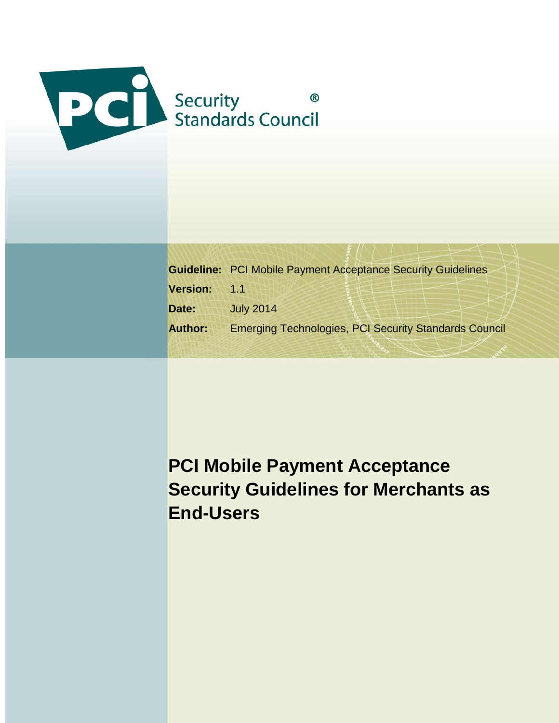

|                | <b>Guideline: PCI Mobile Payment Acceptance Security Guidelines</b> |  |  |
|----------------|---------------------------------------------------------------------|--|--|
| Version: 1.1   |                                                                     |  |  |
| Date:          | <b>July 2014</b>                                                    |  |  |
| <b>Author:</b> | <b>Emerging Technologies, PCI Security Standards Council</b>        |  |  |

# **PCI Mobile Payment Acceptance Security Guidelines for Merchants as End-Users**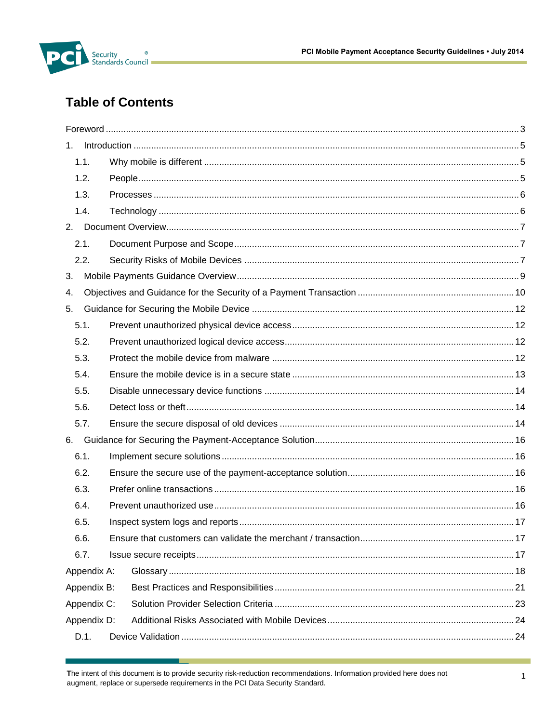

# **Table of Contents**

| $1_{-}$     |  |  |
|-------------|--|--|
| 1.1.        |  |  |
| 1.2.        |  |  |
| 1.3.        |  |  |
| 1.4.        |  |  |
|             |  |  |
| 2.1.        |  |  |
| 2.2.        |  |  |
| 3.          |  |  |
| 4.          |  |  |
| 5.          |  |  |
| 5.1.        |  |  |
| 5.2.        |  |  |
| 5.3.        |  |  |
| 5.4.        |  |  |
| 5.5.        |  |  |
| 5.6.        |  |  |
| 5.7.        |  |  |
| 6.          |  |  |
| 6.1.        |  |  |
| 6.2.        |  |  |
| 6.3.        |  |  |
| 6.4.        |  |  |
| 6.5.        |  |  |
| 6.6.        |  |  |
| 6.7.        |  |  |
| Appendix A: |  |  |
| Appendix B: |  |  |
| Appendix C: |  |  |
| Appendix D: |  |  |
| D.1.        |  |  |

The intent of this document is to provide security risk-reduction recommendations. Information provided here does not augment, replace or supersede requirements in the PCI Data Security Standard.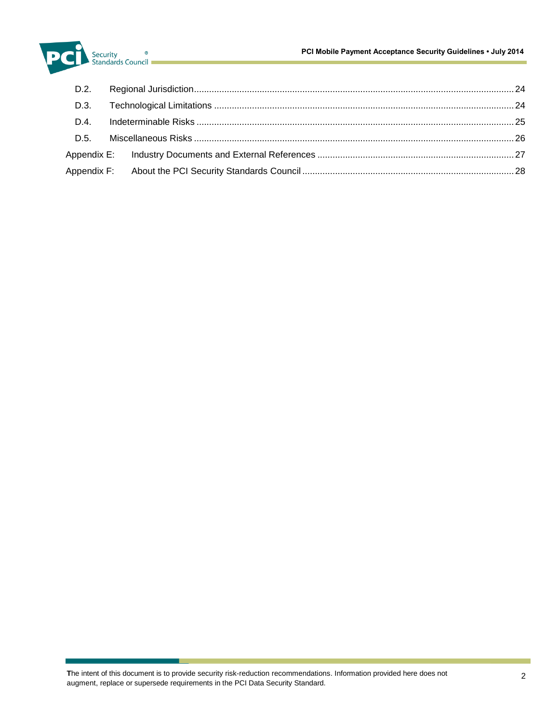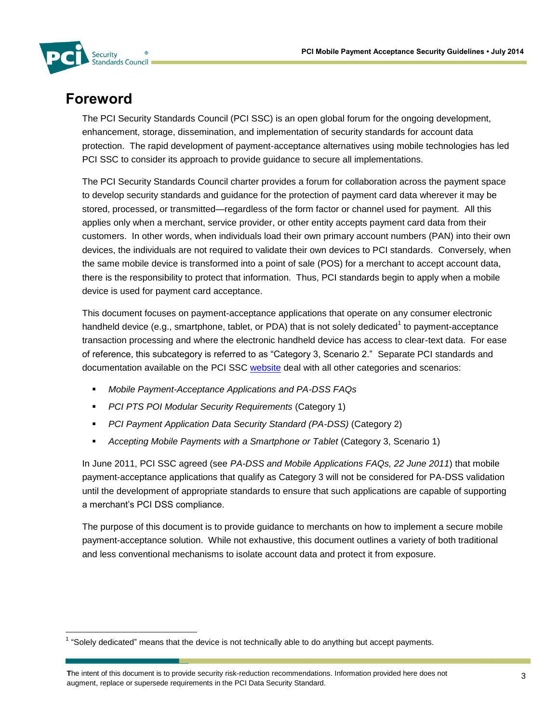

# **Foreword**

l

The PCI Security Standards Council (PCI SSC) is an open global forum for the ongoing development, enhancement, storage, dissemination, and implementation of security standards for account data protection. The rapid development of payment-acceptance alternatives using mobile technologies has led PCI SSC to consider its approach to provide guidance to secure all implementations.

The PCI Security Standards Council charter provides a forum for collaboration across the payment space to develop security standards and guidance for the protection of payment card data wherever it may be stored, processed, or transmitted—regardless of the form factor or channel used for payment. All this applies only when a merchant, service provider, or other entity accepts payment card data from their customers. In other words, when individuals load their own primary account numbers (PAN) into their own devices, the individuals are not required to validate their own devices to PCI standards. Conversely, when the same mobile device is transformed into a point of sale (POS) for a merchant to accept account data, there is the responsibility to protect that information. Thus, PCI standards begin to apply when a mobile device is used for payment card acceptance.

This document focuses on payment-acceptance applications that operate on any consumer electronic handheld device (e.g., smartphone, tablet, or PDA) that is not solely dedicated<sup>1</sup> to payment-acceptance transaction processing and where the electronic handheld device has access to clear-text data. For ease of reference, this subcategory is referred to as "Category 3, Scenario 2." Separate PCI standards and documentation available on the [PCI SSC](https://www.pcisecuritystandards.org/security_standards/documents.phphttps:/www.pcisecuritystandards.org/security_standards/documents.php) [website](https://www.pcisecuritystandards.org/) deal with all other categories and scenarios:

- *Mobile Payment-Acceptance Applications and PA-DSS FAQs*
- *PCI PTS POI Modular Security Requirements* (Category 1)
- *PCI Payment Application Data Security Standard (PA-DSS)* (Category 2)
- *Accepting Mobile Payments with a Smartphone or Tablet* (Category 3, Scenario 1)

In June 2011, PCI SSC agreed (see *PA-DSS and Mobile Applications FAQs, 22 June 2011*) that mobile payment-acceptance applications that qualify as Category 3 will not be considered for PA-DSS validation until the development of appropriate standards to ensure that such applications are capable of supporting a merchant's PCI DSS compliance.

The purpose of this document is to provide guidance to merchants on how to implement a secure mobile payment-acceptance solution. While not exhaustive, this document outlines a variety of both traditional and less conventional mechanisms to isolate account data and protect it from exposure.

 $1$  "Solely dedicated" means that the device is not technically able to do anything but accept payments.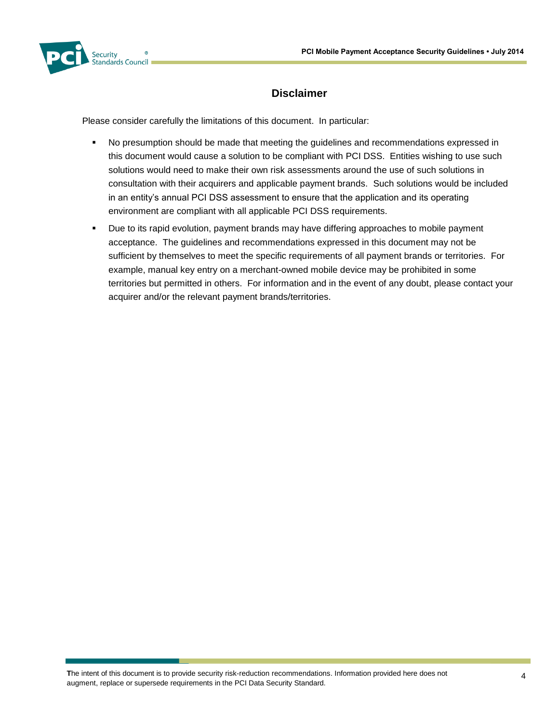

#### **Disclaimer**

Please consider carefully the limitations of this document. In particular:

- No presumption should be made that meeting the guidelines and recommendations expressed in this document would cause a solution to be compliant with PCI DSS. Entities wishing to use such solutions would need to make their own risk assessments around the use of such solutions in consultation with their acquirers and applicable payment brands. Such solutions would be included in an entity's annual PCI DSS assessment to ensure that the application and its operating environment are compliant with all applicable PCI DSS requirements.
- Due to its rapid evolution, payment brands may have differing approaches to mobile payment acceptance. The guidelines and recommendations expressed in this document may not be sufficient by themselves to meet the specific requirements of all payment brands or territories. For example, manual key entry on a merchant-owned mobile device may be prohibited in some territories but permitted in others. For information and in the event of any doubt, please contact your acquirer and/or the relevant payment brands/territories.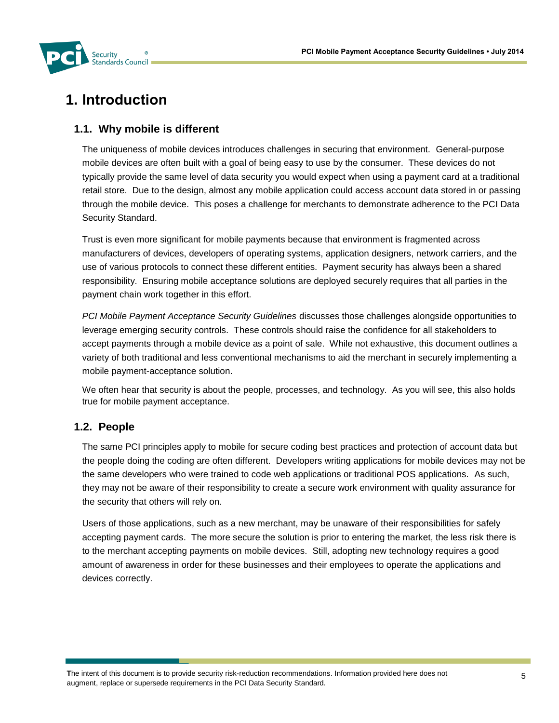

# **1. Introduction**

# **1.1. Why mobile is different**

The uniqueness of mobile devices introduces challenges in securing that environment. General-purpose mobile devices are often built with a goal of being easy to use by the consumer. These devices do not typically provide the same level of data security you would expect when using a payment card at a traditional retail store. Due to the design, almost any mobile application could access account data stored in or passing through the mobile device. This poses a challenge for merchants to demonstrate adherence to the PCI Data Security Standard.

Trust is even more significant for mobile payments because that environment is fragmented across manufacturers of devices, developers of operating systems, application designers, network carriers, and the use of various protocols to connect these different entities. Payment security has always been a shared responsibility. Ensuring mobile acceptance solutions are deployed securely requires that all parties in the payment chain work together in this effort.

*PCI Mobile Payment Acceptance Security Guidelines* discusses those challenges alongside opportunities to leverage emerging security controls. These controls should raise the confidence for all stakeholders to accept payments through a mobile device as a point of sale. While not exhaustive, this document outlines a variety of both traditional and less conventional mechanisms to aid the merchant in securely implementing a mobile payment-acceptance solution.

We often hear that security is about the people, processes, and technology. As you will see, this also holds true for mobile payment acceptance.

# **1.2. People**

The same PCI principles apply to mobile for secure coding best practices and protection of account data but the people doing the coding are often different. Developers writing applications for mobile devices may not be the same developers who were trained to code web applications or traditional POS applications. As such, they may not be aware of their responsibility to create a secure work environment with quality assurance for the security that others will rely on.

Users of those applications, such as a new merchant, may be unaware of their responsibilities for safely accepting payment cards. The more secure the solution is prior to entering the market, the less risk there is to the merchant accepting payments on mobile devices. Still, adopting new technology requires a good amount of awareness in order for these businesses and their employees to operate the applications and devices correctly.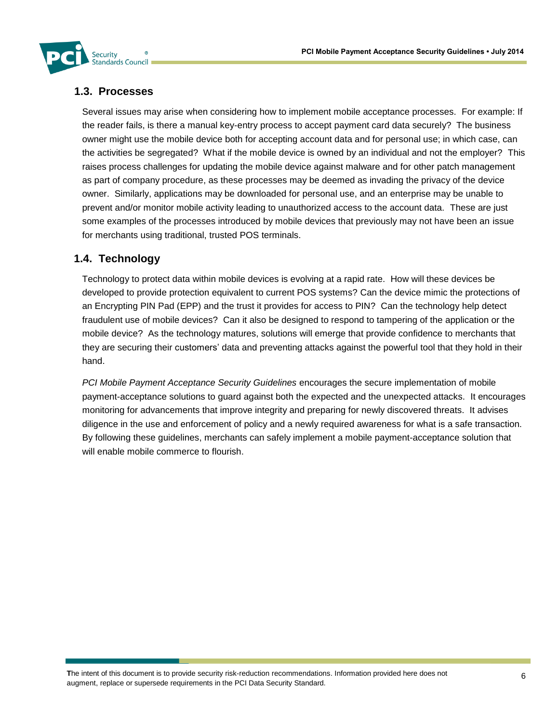

# **1.3. Processes**

Several issues may arise when considering how to implement mobile acceptance processes. For example: If the reader fails, is there a manual key-entry process to accept payment card data securely? The business owner might use the mobile device both for accepting account data and for personal use; in which case, can the activities be segregated? What if the mobile device is owned by an individual and not the employer? This raises process challenges for updating the mobile device against malware and for other patch management as part of company procedure, as these processes may be deemed as invading the privacy of the device owner. Similarly, applications may be downloaded for personal use, and an enterprise may be unable to prevent and/or monitor mobile activity leading to unauthorized access to the account data. These are just some examples of the processes introduced by mobile devices that previously may not have been an issue for merchants using traditional, trusted POS terminals.

# **1.4. Technology**

Technology to protect data within mobile devices is evolving at a rapid rate. How will these devices be developed to provide protection equivalent to current POS systems? Can the device mimic the protections of an Encrypting PIN Pad (EPP) and the trust it provides for access to PIN? Can the technology help detect fraudulent use of mobile devices? Can it also be designed to respond to tampering of the application or the mobile device? As the technology matures, solutions will emerge that provide confidence to merchants that they are securing their customers' data and preventing attacks against the powerful tool that they hold in their hand.

*PCI Mobile Payment Acceptance Security Guidelines* encourages the secure implementation of mobile payment-acceptance solutions to guard against both the expected and the unexpected attacks. It encourages monitoring for advancements that improve integrity and preparing for newly discovered threats. It advises diligence in the use and enforcement of policy and a newly required awareness for what is a safe transaction. By following these guidelines, merchants can safely implement a mobile payment-acceptance solution that will enable mobile commerce to flourish.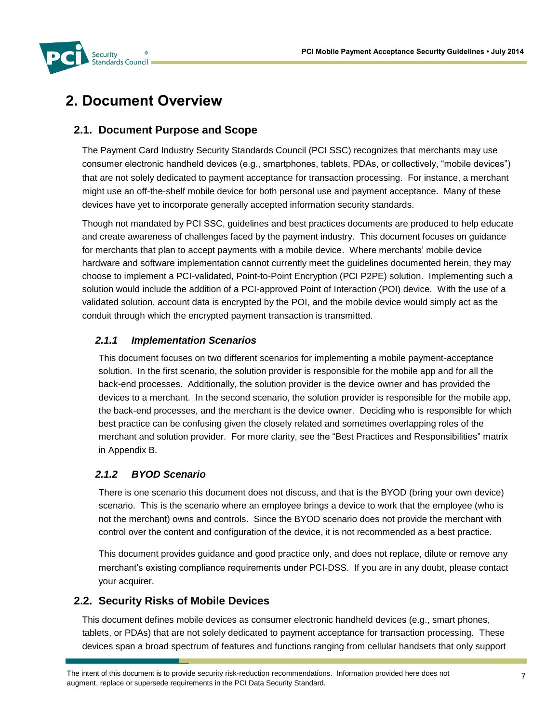

# **2. Document Overview**

# **2.1. Document Purpose and Scope**

The Payment Card Industry Security Standards Council (PCI SSC) recognizes that merchants may use consumer electronic handheld devices (e.g., smartphones, tablets, PDAs, or collectively, "mobile devices") that are not solely dedicated to payment acceptance for transaction processing. For instance, a merchant might use an off-the-shelf mobile device for both personal use and payment acceptance. Many of these devices have yet to incorporate generally accepted information security standards.

Though not mandated by PCI SSC, guidelines and best practices documents are produced to help educate and create awareness of challenges faced by the payment industry. This document focuses on guidance for merchants that plan to accept payments with a mobile device. Where merchants' mobile device hardware and software implementation cannot currently meet the guidelines documented herein, they may choose to implement a PCI-validated, Point-to-Point Encryption (PCI P2PE) solution. Implementing such a solution would include the addition of a PCI-approved Point of Interaction (POI) device. With the use of a validated solution, account data is encrypted by the POI, and the mobile device would simply act as the conduit through which the encrypted payment transaction is transmitted.

#### *2.1.1 Implementation Scenarios*

This document focuses on two different scenarios for implementing a mobile payment-acceptance solution. In the first scenario, the solution provider is responsible for the mobile app and for all the back-end processes. Additionally, the solution provider is the device owner and has provided the devices to a merchant. In the second scenario, the solution provider is responsible for the mobile app, the back-end processes, and the merchant is the device owner. Deciding who is responsible for which best practice can be confusing given the closely related and sometimes overlapping roles of the merchant and solution provider. For more clarity, see the "Best Practices and Responsibilities" matrix in Appendix B.

# *2.1.2 BYOD Scenario*

There is one scenario this document does not discuss, and that is the BYOD (bring your own device) scenario. This is the scenario where an employee brings a device to work that the employee (who is not the merchant) owns and controls. Since the BYOD scenario does not provide the merchant with control over the content and configuration of the device, it is not recommended as a best practice.

This document provides guidance and good practice only, and does not replace, dilute or remove any merchant's existing compliance requirements under PCI-DSS. If you are in any doubt, please contact your acquirer.

# **2.2. Security Risks of Mobile Devices**

This document defines mobile devices as consumer electronic handheld devices (e.g., smart phones, tablets, or PDAs) that are not solely dedicated to payment acceptance for transaction processing. These devices span a broad spectrum of features and functions ranging from cellular handsets that only support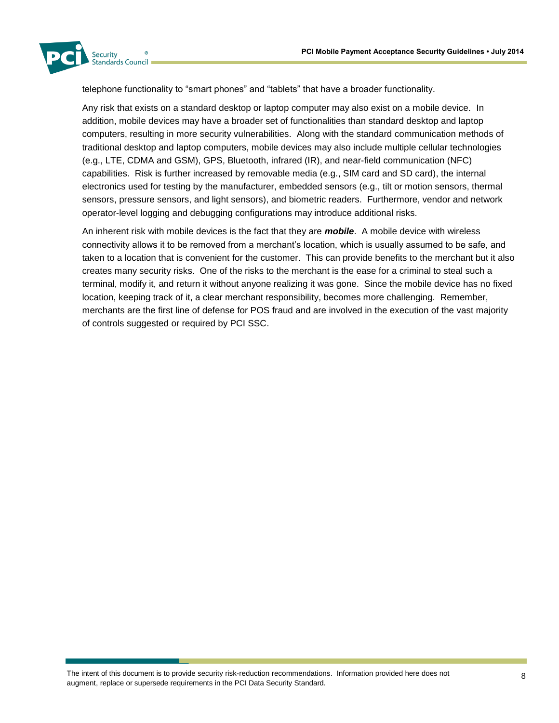

telephone functionality to "smart phones" and "tablets" that have a broader functionality.

Any risk that exists on a standard desktop or laptop computer may also exist on a mobile device. In addition, mobile devices may have a broader set of functionalities than standard desktop and laptop computers, resulting in more security vulnerabilities. Along with the standard communication methods of traditional desktop and laptop computers, mobile devices may also include multiple cellular technologies (e.g., LTE, CDMA and GSM), GPS, Bluetooth, infrared (IR), and near-field communication (NFC) capabilities. Risk is further increased by removable media (e.g., SIM card and SD card), the internal electronics used for testing by the manufacturer, embedded sensors (e.g., tilt or motion sensors, thermal sensors, pressure sensors, and light sensors), and biometric readers. Furthermore, vendor and network operator-level logging and debugging configurations may introduce additional risks.

An inherent risk with mobile devices is the fact that they are *mobile*. A mobile device with wireless connectivity allows it to be removed from a merchant's location, which is usually assumed to be safe, and taken to a location that is convenient for the customer. This can provide benefits to the merchant but it also creates many security risks. One of the risks to the merchant is the ease for a criminal to steal such a terminal, modify it, and return it without anyone realizing it was gone. Since the mobile device has no fixed location, keeping track of it, a clear merchant responsibility, becomes more challenging. Remember, merchants are the first line of defense for POS fraud and are involved in the execution of the vast majority of controls suggested or required by PCI SSC.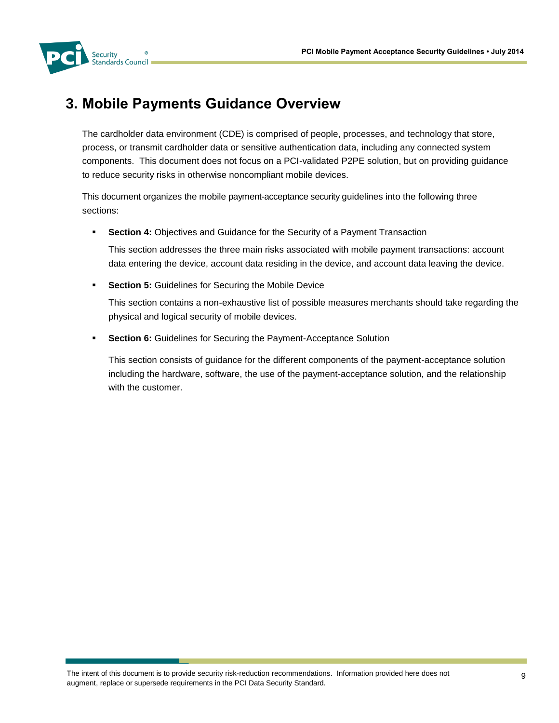

# **3. Mobile Payments Guidance Overview**

The cardholder data environment (CDE) is comprised of people, processes, and technology that store, process, or transmit cardholder data or sensitive authentication data, including any connected system components. This document does not focus on a PCI-validated P2PE solution, but on providing guidance to reduce security risks in otherwise noncompliant mobile devices.

This document organizes the mobile payment-acceptance security guidelines into the following three sections:

**Section 4:** Objectives and Guidance for the Security of a Payment Transaction

This section addresses the three main risks associated with mobile payment transactions: account data entering the device, account data residing in the device, and account data leaving the device.

**Section 5:** Guidelines for Securing the Mobile Device

This section contains a non-exhaustive list of possible measures merchants should take regarding the physical and logical security of mobile devices.

**Section 6:** Guidelines for Securing the Payment-Acceptance Solution

This section consists of guidance for the different components of the payment-acceptance solution including the hardware, software, the use of the payment-acceptance solution, and the relationship with the customer.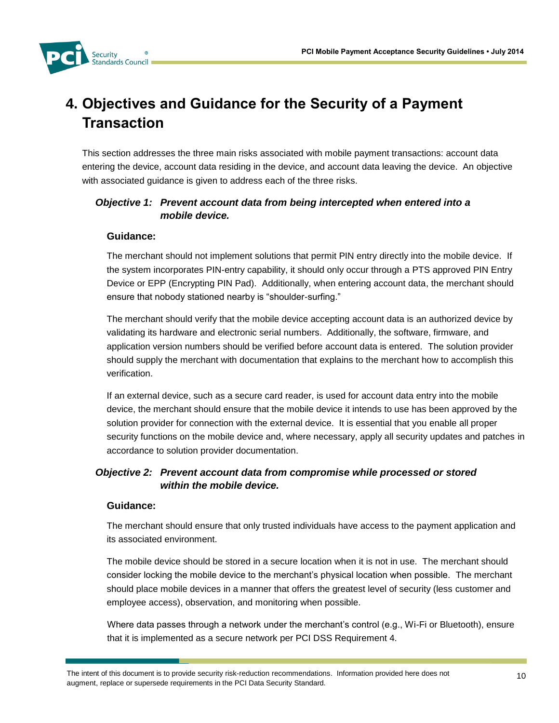

# **4. Objectives and Guidance for the Security of a Payment Transaction**

This section addresses the three main risks associated with mobile payment transactions: account data entering the device, account data residing in the device, and account data leaving the device. An objective with associated guidance is given to address each of the three risks.

#### *Objective 1: Prevent account data from being intercepted when entered into a mobile device.*

#### **Guidance:**

The merchant should not implement solutions that permit PIN entry directly into the mobile device. If the system incorporates PIN-entry capability, it should only occur through a PTS approved PIN Entry Device or EPP (Encrypting PIN Pad). Additionally, when entering account data, the merchant should ensure that nobody stationed nearby is "shoulder-surfing."

The merchant should verify that the mobile device accepting account data is an authorized device by validating its hardware and electronic serial numbers. Additionally, the software, firmware, and application version numbers should be verified before account data is entered. The solution provider should supply the merchant with documentation that explains to the merchant how to accomplish this verification.

If an external device, such as a secure card reader, is used for account data entry into the mobile device, the merchant should ensure that the mobile device it intends to use has been approved by the solution provider for connection with the external device. It is essential that you enable all proper security functions on the mobile device and, where necessary, apply all security updates and patches in accordance to solution provider documentation.

#### *Objective 2: Prevent account data from compromise while processed or stored within the mobile device.*

#### **Guidance:**

The merchant should ensure that only trusted individuals have access to the payment application and its associated environment.

The mobile device should be stored in a secure location when it is not in use. The merchant should consider locking the mobile device to the merchant's physical location when possible. The merchant should place mobile devices in a manner that offers the greatest level of security (less customer and employee access), observation, and monitoring when possible.

Where data passes through a network under the merchant's control (e.g., Wi-Fi or Bluetooth), ensure that it is implemented as a secure network per PCI DSS Requirement 4.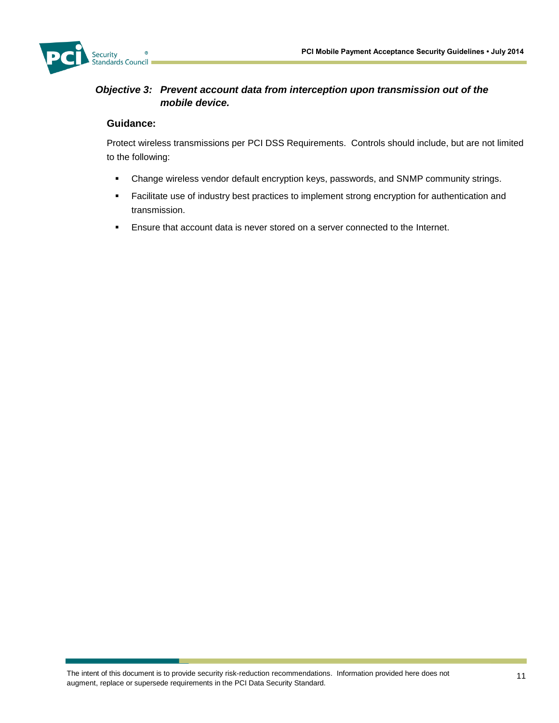

#### *Objective 3: Prevent account data from interception upon transmission out of the mobile device.*

#### **Guidance:**

Protect wireless transmissions per PCI DSS Requirements. Controls should include, but are not limited to the following:

- Change wireless vendor default encryption keys, passwords, and SNMP community strings.
- **Facilitate use of industry best practices to implement strong encryption for authentication and** transmission.
- Ensure that account data is never stored on a server connected to the Internet.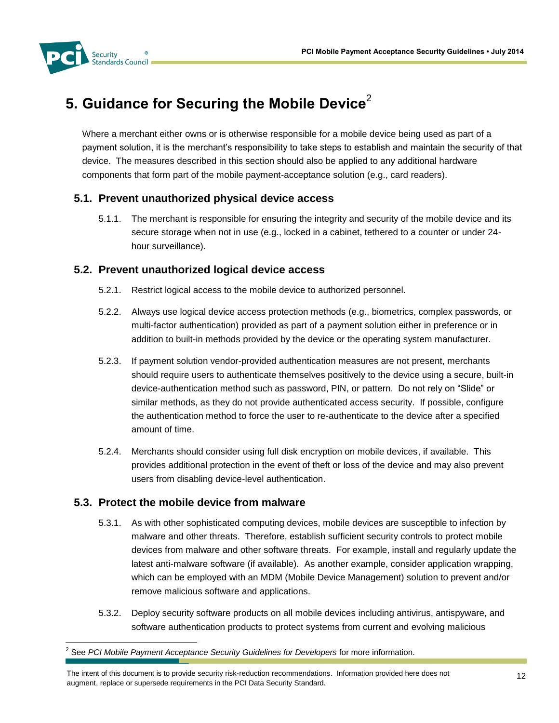

l

# **5. Guidance for Securing the Mobile Device**<sup>2</sup>

Where a merchant either owns or is otherwise responsible for a mobile device being used as part of a payment solution, it is the merchant's responsibility to take steps to establish and maintain the security of that device. The measures described in this section should also be applied to any additional hardware components that form part of the mobile payment-acceptance solution (e.g., card readers).

# **5.1. Prevent unauthorized physical device access**

5.1.1. The merchant is responsible for ensuring the integrity and security of the mobile device and its secure storage when not in use (e.g., locked in a cabinet, tethered to a counter or under 24 hour surveillance).

#### **5.2. Prevent unauthorized logical device access**

- 5.2.1. Restrict logical access to the mobile device to authorized personnel.
- 5.2.2. Always use logical device access protection methods (e.g., biometrics, complex passwords, or multi-factor authentication) provided as part of a payment solution either in preference or in addition to built-in methods provided by the device or the operating system manufacturer.
- 5.2.3. If payment solution vendor-provided authentication measures are not present, merchants should require users to authenticate themselves positively to the device using a secure, built-in device-authentication method such as password, PIN, or pattern. Do not rely on "Slide" or similar methods, as they do not provide authenticated access security. If possible, configure the authentication method to force the user to re-authenticate to the device after a specified amount of time.
- 5.2.4. Merchants should consider using full disk encryption on mobile devices, if available. This provides additional protection in the event of theft or loss of the device and may also prevent users from disabling device-level authentication.

# **5.3. Protect the mobile device from malware**

- 5.3.1. As with other sophisticated computing devices, mobile devices are susceptible to infection by malware and other threats. Therefore, establish sufficient security controls to protect mobile devices from malware and other software threats. For example, install and regularly update the latest anti-malware software (if available). As another example, consider application wrapping, which can be employed with an MDM (Mobile Device Management) solution to prevent and/or remove malicious software and applications.
- 5.3.2. Deploy security software products on all mobile devices including antivirus, antispyware, and software authentication products to protect systems from current and evolving malicious

<sup>&</sup>lt;sup>2</sup> See PCI Mobile Payment Acceptance Security Guidelines for Developers for more information.

The intent of this document is to provide security risk-reduction recommendations. Information provided here does not augment, replace or supersede requirements in the PCI Data Security Standard.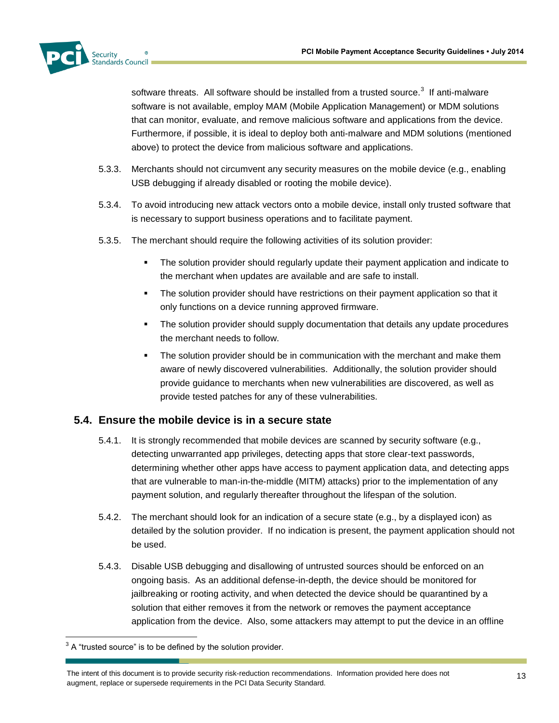

software threats. All software should be installed from a trusted source.<sup>3</sup> If anti-malware software is not available, employ MAM (Mobile Application Management) or MDM solutions that can monitor, evaluate, and remove malicious software and applications from the device. Furthermore, if possible, it is ideal to deploy both anti-malware and MDM solutions (mentioned above) to protect the device from malicious software and applications.

- 5.3.3. Merchants should not circumvent any security measures on the mobile device (e.g., enabling USB debugging if already disabled or rooting the mobile device).
- 5.3.4. To avoid introducing new attack vectors onto a mobile device, install only trusted software that is necessary to support business operations and to facilitate payment.
- 5.3.5. The merchant should require the following activities of its solution provider:
	- **The solution provider should regularly update their payment application and indicate to** the merchant when updates are available and are safe to install.
	- The solution provider should have restrictions on their payment application so that it only functions on a device running approved firmware.
	- The solution provider should supply documentation that details any update procedures the merchant needs to follow.
	- **The solution provider should be in communication with the merchant and make them** aware of newly discovered vulnerabilities. Additionally, the solution provider should provide guidance to merchants when new vulnerabilities are discovered, as well as provide tested patches for any of these vulnerabilities.

# **5.4. Ensure the mobile device is in a secure state**

- 5.4.1. It is strongly recommended that mobile devices are scanned by security software (e.g., detecting unwarranted app privileges, detecting apps that store clear-text passwords, determining whether other apps have access to payment application data, and detecting apps that are vulnerable to man-in-the-middle (MITM) attacks) prior to the implementation of any payment solution, and regularly thereafter throughout the lifespan of the solution.
- 5.4.2. The merchant should look for an indication of a secure state (e.g., by a displayed icon) as detailed by the solution provider. If no indication is present, the payment application should not be used.
- 5.4.3. Disable USB debugging and disallowing of untrusted sources should be enforced on an ongoing basis. As an additional defense-in-depth, the device should be monitored for jailbreaking or rooting activity, and when detected the device should be quarantined by a solution that either removes it from the network or removes the payment acceptance application from the device. Also, some attackers may attempt to put the device in an offline

l

 $3$  A "trusted source" is to be defined by the solution provider.

The intent of this document is to provide security risk-reduction recommendations. Information provided here does not augment, replace or supersede requirements in the PCI Data Security Standard.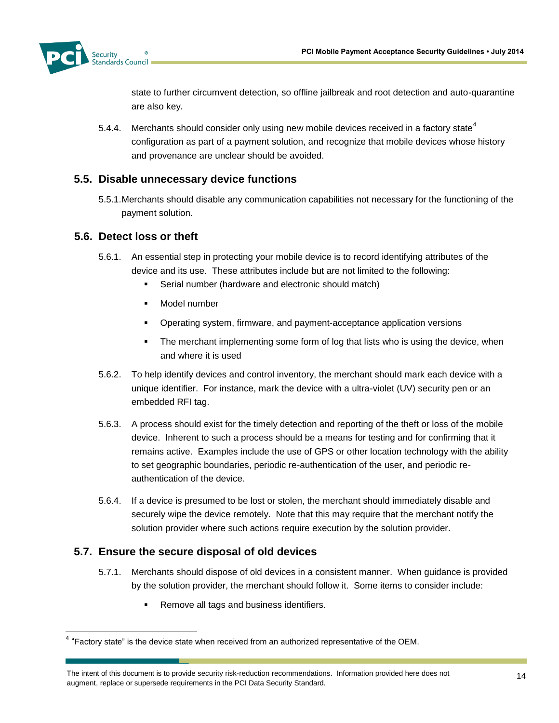

state to further circumvent detection, so offline jailbreak and root detection and auto-quarantine are also key.

5.4.4. Merchants should consider only using new mobile devices received in a factory state<sup>4</sup> configuration as part of a payment solution, and recognize that mobile devices whose history and provenance are unclear should be avoided.

# **5.5. Disable unnecessary device functions**

5.5.1.Merchants should disable any communication capabilities not necessary for the functioning of the payment solution.

#### **5.6. Detect loss or theft**

- 5.6.1. An essential step in protecting your mobile device is to record identifying attributes of the device and its use. These attributes include but are not limited to the following:
	- Serial number (hardware and electronic should match)
	- Model number
	- Operating system, firmware, and payment-acceptance application versions
	- **The merchant implementing some form of log that lists who is using the device, when** and where it is used
- 5.6.2. To help identify devices and control inventory, the merchant should mark each device with a unique identifier. For instance, mark the device with a ultra-violet (UV) security pen or an embedded RFI tag.
- 5.6.3. A process should exist for the timely detection and reporting of the theft or loss of the mobile device. Inherent to such a process should be a means for testing and for confirming that it remains active. Examples include the use of GPS or other location technology with the ability to set geographic boundaries, periodic re-authentication of the user, and periodic reauthentication of the device.
- 5.6.4. If a device is presumed to be lost or stolen, the merchant should immediately disable and securely wipe the device remotely. Note that this may require that the merchant notify the solution provider where such actions require execution by the solution provider.

# **5.7. Ensure the secure disposal of old devices**

l

- 5.7.1. Merchants should dispose of old devices in a consistent manner. When guidance is provided by the solution provider, the merchant should follow it. Some items to consider include:
	- **Remove all tags and business identifiers.**

 $4$  "Factory state" is the device state when received from an authorized representative of the OEM.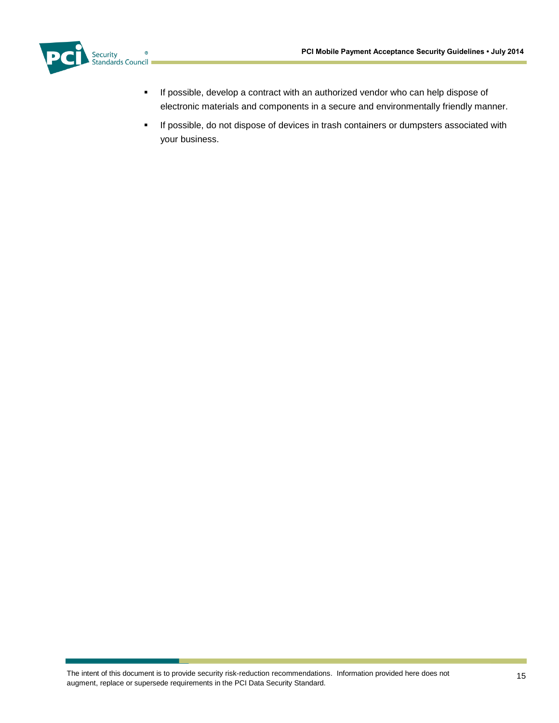

- **If possible, develop a contract with an authorized vendor who can help dispose of** electronic materials and components in a secure and environmentally friendly manner.
- **If possible, do not dispose of devices in trash containers or dumpsters associated with** your business.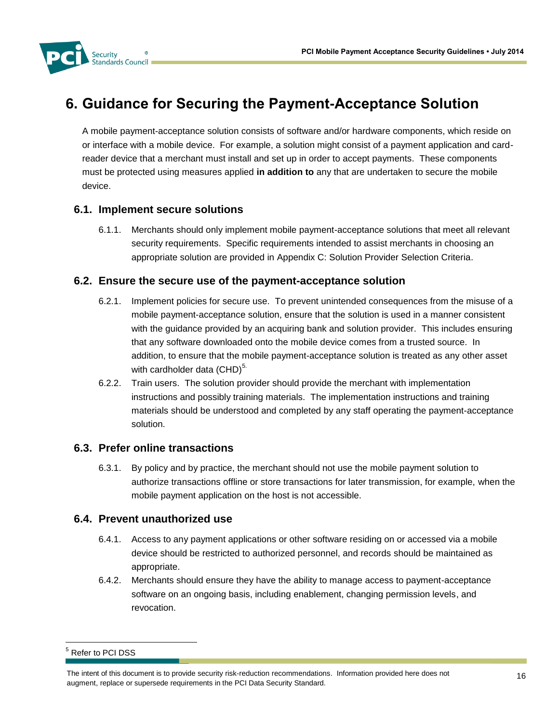

# **6. Guidance for Securing the Payment-Acceptance Solution**

A mobile payment-acceptance solution consists of software and/or hardware components, which reside on or interface with a mobile device. For example, a solution might consist of a payment application and cardreader device that a merchant must install and set up in order to accept payments. These components must be protected using measures applied **in addition to** any that are undertaken to secure the mobile device.

# **6.1. Implement secure solutions**

6.1.1. Merchants should only implement mobile payment-acceptance solutions that meet all relevant security requirements. Specific requirements intended to assist merchants in choosing an appropriate solution are provided in [Appendix C: Solution Provider Selection Criteria.](#page-23-0)

#### **6.2. Ensure the secure use of the payment-acceptance solution**

- 6.2.1. Implement policies for secure use. To prevent unintended consequences from the misuse of a mobile payment-acceptance solution, ensure that the solution is used in a manner consistent with the guidance provided by an acquiring bank and solution provider. This includes ensuring that any software downloaded onto the mobile device comes from a trusted source. In addition, to ensure that the mobile payment-acceptance solution is treated as any other asset with cardholder data  $(CHD)^{5}$ .
- 6.2.2. Train users. The solution provider should provide the merchant with implementation instructions and possibly training materials. The implementation instructions and training materials should be understood and completed by any staff operating the payment-acceptance solution.

# **6.3. Prefer online transactions**

6.3.1. By policy and by practice, the merchant should not use the mobile payment solution to authorize transactions offline or store transactions for later transmission, for example, when the mobile payment application on the host is not accessible.

#### **6.4. Prevent unauthorized use**

- 6.4.1. Access to any payment applications or other software residing on or accessed via a mobile device should be restricted to authorized personnel, and records should be maintained as appropriate.
- 6.4.2. Merchants should ensure they have the ability to manage access to payment-acceptance software on an ongoing basis, including enablement, changing permission levels, and revocation.

l

<sup>5</sup> Refer to PCI DSS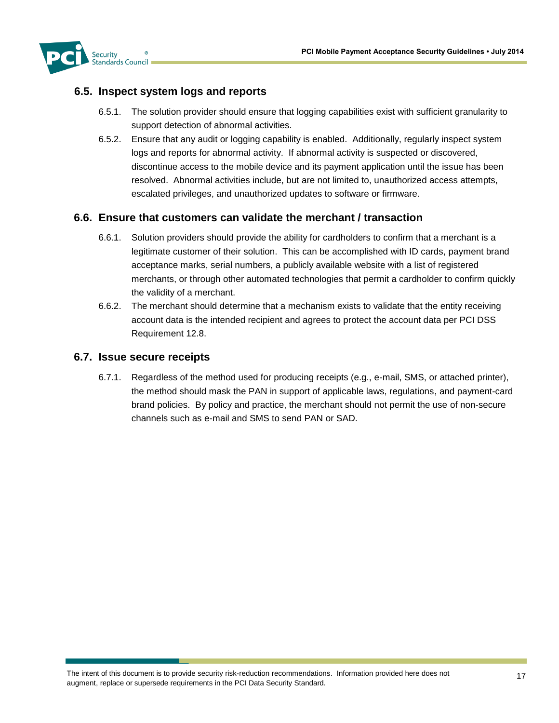

#### **6.5. Inspect system logs and reports**

- 6.5.1. The solution provider should ensure that logging capabilities exist with sufficient granularity to support detection of abnormal activities.
- 6.5.2. Ensure that any audit or logging capability is enabled. Additionally, regularly inspect system logs and reports for abnormal activity. If abnormal activity is suspected or discovered, discontinue access to the mobile device and its payment application until the issue has been resolved. Abnormal activities include, but are not limited to, unauthorized access attempts, escalated privileges, and unauthorized updates to software or firmware.

#### **6.6. Ensure that customers can validate the merchant / transaction**

- 6.6.1. Solution providers should provide the ability for cardholders to confirm that a merchant is a legitimate customer of their solution. This can be accomplished with ID cards, payment brand acceptance marks, serial numbers, a publicly available website with a list of registered merchants, or through other automated technologies that permit a cardholder to confirm quickly the validity of a merchant.
- 6.6.2. The merchant should determine that a mechanism exists to validate that the entity receiving account data is the intended recipient and agrees to protect the account data per PCI DSS Requirement 12.8.

#### **6.7. Issue secure receipts**

6.7.1. Regardless of the method used for producing receipts (e.g., e-mail, SMS, or attached printer), the method should mask the PAN in support of applicable laws, regulations, and payment-card brand policies. By policy and practice, the merchant should not permit the use of non-secure channels such as e-mail and SMS to send PAN or SAD.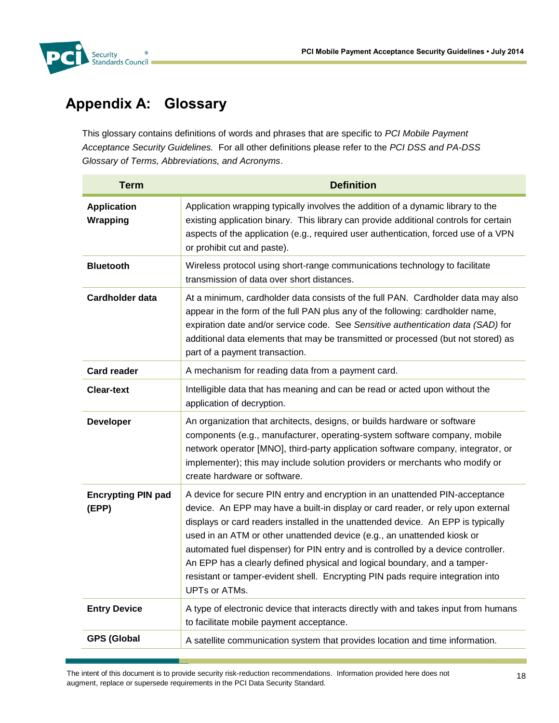

# **Appendix A: Glossary**

This glossary contains definitions of words and phrases that are specific to *PCI Mobile Payment Acceptance Security Guidelines.* For all other definitions please refer to the *PCI DSS and PA-DSS Glossary of Terms, Abbreviations, and Acronyms*.

| <b>Term</b>                        | <b>Definition</b>                                                                                                                                                                                                                                                                                                                                                                                                                                                                                                                                                                                            |
|------------------------------------|--------------------------------------------------------------------------------------------------------------------------------------------------------------------------------------------------------------------------------------------------------------------------------------------------------------------------------------------------------------------------------------------------------------------------------------------------------------------------------------------------------------------------------------------------------------------------------------------------------------|
| <b>Application</b><br>Wrapping     | Application wrapping typically involves the addition of a dynamic library to the<br>existing application binary. This library can provide additional controls for certain<br>aspects of the application (e.g., required user authentication, forced use of a VPN<br>or prohibit cut and paste).                                                                                                                                                                                                                                                                                                              |
| <b>Bluetooth</b>                   | Wireless protocol using short-range communications technology to facilitate<br>transmission of data over short distances.                                                                                                                                                                                                                                                                                                                                                                                                                                                                                    |
| <b>Cardholder data</b>             | At a minimum, cardholder data consists of the full PAN. Cardholder data may also<br>appear in the form of the full PAN plus any of the following: cardholder name,<br>expiration date and/or service code. See Sensitive authentication data (SAD) for<br>additional data elements that may be transmitted or processed (but not stored) as<br>part of a payment transaction.                                                                                                                                                                                                                                |
| <b>Card reader</b>                 | A mechanism for reading data from a payment card.                                                                                                                                                                                                                                                                                                                                                                                                                                                                                                                                                            |
| <b>Clear-text</b>                  | Intelligible data that has meaning and can be read or acted upon without the<br>application of decryption.                                                                                                                                                                                                                                                                                                                                                                                                                                                                                                   |
| <b>Developer</b>                   | An organization that architects, designs, or builds hardware or software<br>components (e.g., manufacturer, operating-system software company, mobile<br>network operator [MNO], third-party application software company, integrator, or<br>implementer); this may include solution providers or merchants who modify or<br>create hardware or software.                                                                                                                                                                                                                                                    |
| <b>Encrypting PIN pad</b><br>(EPP) | A device for secure PIN entry and encryption in an unattended PIN-acceptance<br>device. An EPP may have a built-in display or card reader, or rely upon external<br>displays or card readers installed in the unattended device. An EPP is typically<br>used in an ATM or other unattended device (e.g., an unattended kiosk or<br>automated fuel dispenser) for PIN entry and is controlled by a device controller.<br>An EPP has a clearly defined physical and logical boundary, and a tamper-<br>resistant or tamper-evident shell. Encrypting PIN pads require integration into<br><b>UPTs or ATMs.</b> |
| <b>Entry Device</b>                | A type of electronic device that interacts directly with and takes input from humans<br>to facilitate mobile payment acceptance.                                                                                                                                                                                                                                                                                                                                                                                                                                                                             |
| <b>GPS (Global</b>                 | A satellite communication system that provides location and time information.                                                                                                                                                                                                                                                                                                                                                                                                                                                                                                                                |

The intent of this document is to provide security risk-reduction recommendations. Information provided here does not augment, replace or supersede requirements in the PCI Data Security Standard.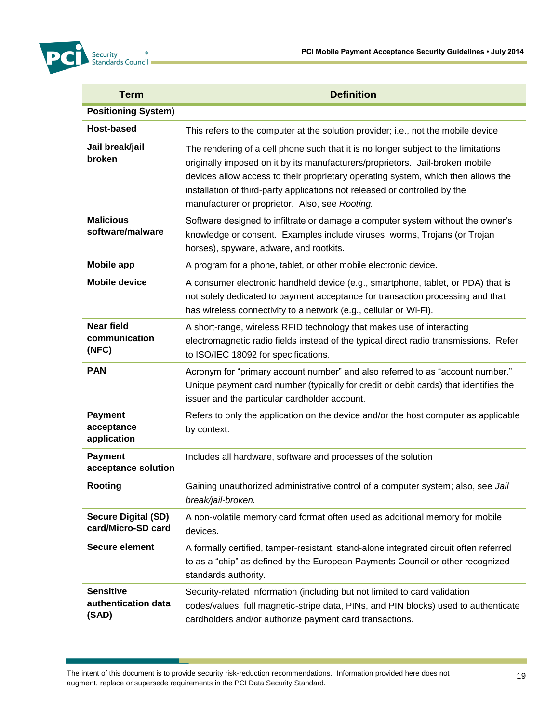

| <b>Term</b>                                      | <b>Definition</b>                                                                                                                                                                                                                                                                                                                                                                        |
|--------------------------------------------------|------------------------------------------------------------------------------------------------------------------------------------------------------------------------------------------------------------------------------------------------------------------------------------------------------------------------------------------------------------------------------------------|
| <b>Positioning System)</b>                       |                                                                                                                                                                                                                                                                                                                                                                                          |
| Host-based                                       | This refers to the computer at the solution provider; i.e., not the mobile device                                                                                                                                                                                                                                                                                                        |
| Jail break/jail<br>broken                        | The rendering of a cell phone such that it is no longer subject to the limitations<br>originally imposed on it by its manufacturers/proprietors. Jail-broken mobile<br>devices allow access to their proprietary operating system, which then allows the<br>installation of third-party applications not released or controlled by the<br>manufacturer or proprietor. Also, see Rooting. |
| <b>Malicious</b><br>software/malware             | Software designed to infiltrate or damage a computer system without the owner's<br>knowledge or consent. Examples include viruses, worms, Trojans (or Trojan<br>horses), spyware, adware, and rootkits.                                                                                                                                                                                  |
| <b>Mobile app</b>                                | A program for a phone, tablet, or other mobile electronic device.                                                                                                                                                                                                                                                                                                                        |
| <b>Mobile device</b>                             | A consumer electronic handheld device (e.g., smartphone, tablet, or PDA) that is<br>not solely dedicated to payment acceptance for transaction processing and that<br>has wireless connectivity to a network (e.g., cellular or Wi-Fi).                                                                                                                                                  |
| <b>Near field</b><br>communication<br>(NFC)      | A short-range, wireless RFID technology that makes use of interacting<br>electromagnetic radio fields instead of the typical direct radio transmissions. Refer<br>to ISO/IEC 18092 for specifications.                                                                                                                                                                                   |
| <b>PAN</b>                                       | Acronym for "primary account number" and also referred to as "account number."<br>Unique payment card number (typically for credit or debit cards) that identifies the<br>issuer and the particular cardholder account.                                                                                                                                                                  |
| <b>Payment</b><br>acceptance<br>application      | Refers to only the application on the device and/or the host computer as applicable<br>by context.                                                                                                                                                                                                                                                                                       |
| <b>Payment</b><br>acceptance solution            | Includes all hardware, software and processes of the solution                                                                                                                                                                                                                                                                                                                            |
| Rooting                                          | Gaining unauthorized administrative control of a computer system; also, see Jail<br>break/jail-broken.                                                                                                                                                                                                                                                                                   |
| <b>Secure Digital (SD)</b><br>card/Micro-SD card | A non-volatile memory card format often used as additional memory for mobile<br>devices.                                                                                                                                                                                                                                                                                                 |
| Secure element                                   | A formally certified, tamper-resistant, stand-alone integrated circuit often referred<br>to as a "chip" as defined by the European Payments Council or other recognized<br>standards authority.                                                                                                                                                                                          |
| <b>Sensitive</b><br>authentication data<br>(SAD) | Security-related information (including but not limited to card validation<br>codes/values, full magnetic-stripe data, PINs, and PIN blocks) used to authenticate<br>cardholders and/or authorize payment card transactions.                                                                                                                                                             |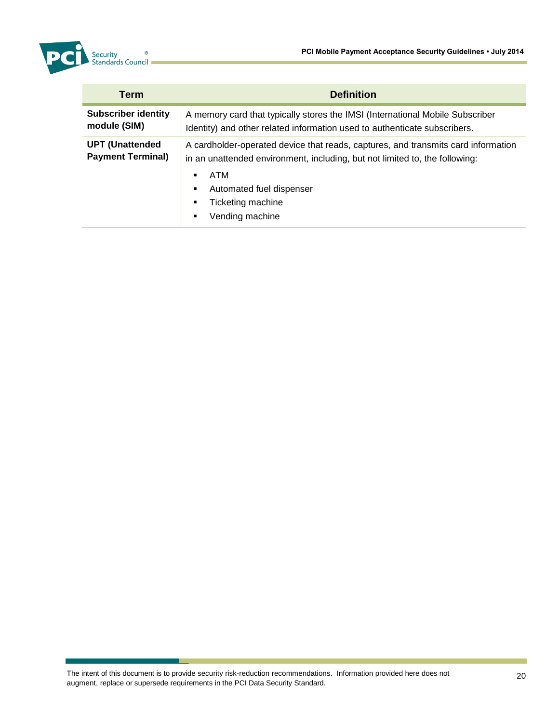

| <b>Term</b>                                        | <b>Definition</b>                                                                                                                                                                                                                                                |  |  |  |
|----------------------------------------------------|------------------------------------------------------------------------------------------------------------------------------------------------------------------------------------------------------------------------------------------------------------------|--|--|--|
| <b>Subscriber identity</b><br>module (SIM)         | A memory card that typically stores the IMSI (International Mobile Subscriber<br>Identity) and other related information used to authenticate subscribers.                                                                                                       |  |  |  |
| <b>UPT (Unattended</b><br><b>Payment Terminal)</b> | A cardholder-operated device that reads, captures, and transmits card information<br>in an unattended environment, including, but not limited to, the following:<br>ATM<br>٠.<br>Automated fuel dispenser<br>٠<br>Ticketing machine<br>٠<br>Vending machine<br>٠ |  |  |  |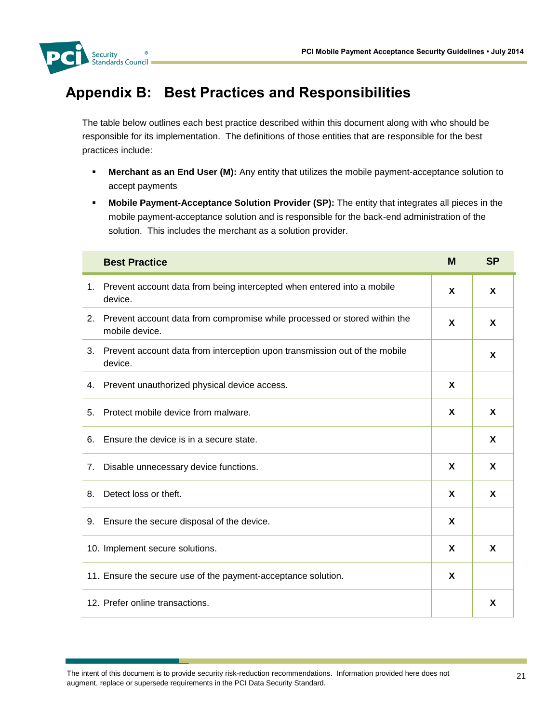

# **Appendix B: Best Practices and Responsibilities**

The table below outlines each best practice described within this document along with who should be responsible for its implementation. The definitions of those entities that are responsible for the best practices include:

- **Merchant as an End User (M):** Any entity that utilizes the mobile payment-acceptance solution to accept payments
- **Mobile Payment-Acceptance Solution Provider (SP):** The entity that integrates all pieces in the mobile payment-acceptance solution and is responsible for the back-end administration of the solution. This includes the merchant as a solution provider.

|    | <b>Best Practice</b>                                                                        | M | <b>SP</b> |
|----|---------------------------------------------------------------------------------------------|---|-----------|
| 1. | Prevent account data from being intercepted when entered into a mobile<br>device.           | X | X         |
| 2. | Prevent account data from compromise while processed or stored within the<br>mobile device. | X | X         |
| 3. | Prevent account data from interception upon transmission out of the mobile<br>device.       |   | X         |
| 4. | Prevent unauthorized physical device access.                                                | X |           |
| 5. | Protect mobile device from malware.                                                         | X | X         |
| 6. | Ensure the device is in a secure state.                                                     |   | X         |
| 7. | Disable unnecessary device functions.                                                       | X | X         |
| 8. | Detect loss or theft.                                                                       | X | X         |
| 9. | Ensure the secure disposal of the device.                                                   | X |           |
|    | 10. Implement secure solutions.                                                             | X | X         |
|    | 11. Ensure the secure use of the payment-acceptance solution.                               | X |           |
|    | 12. Prefer online transactions.                                                             |   | X         |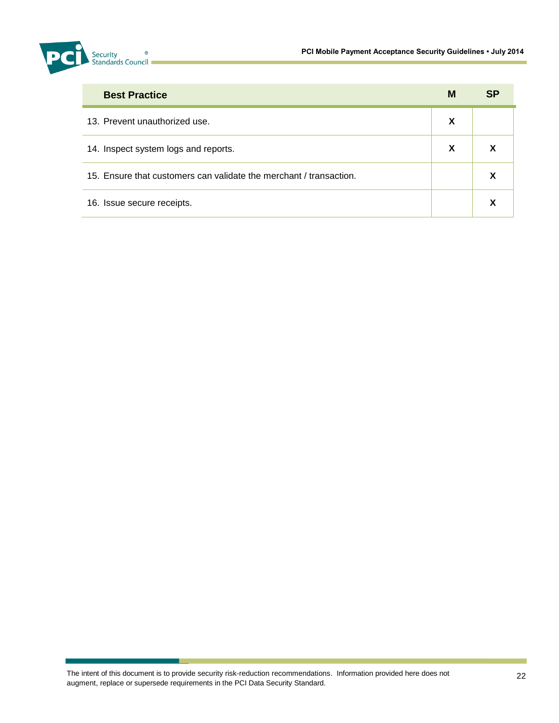

| <b>Best Practice</b>                                               | M           | <b>SP</b> |
|--------------------------------------------------------------------|-------------|-----------|
| 13. Prevent unauthorized use.                                      | X           |           |
| 14. Inspect system logs and reports.                               | $\mathbf x$ | х         |
| 15. Ensure that customers can validate the merchant / transaction. |             | X         |
| 16. Issue secure receipts.                                         |             | X         |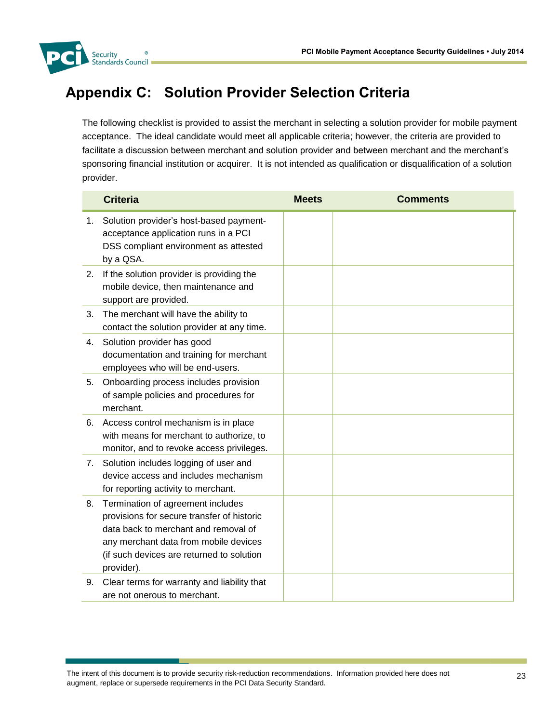

# <span id="page-23-0"></span>**Appendix C: Solution Provider Selection Criteria**

The following checklist is provided to assist the merchant in selecting a solution provider for mobile payment acceptance. The ideal candidate would meet all applicable criteria; however, the criteria are provided to facilitate a discussion between merchant and solution provider and between merchant and the merchant's sponsoring financial institution or acquirer. It is not intended as qualification or disqualification of a solution provider.

|    | <b>Criteria</b>                                                                                                                                                                                                             | <b>Meets</b> | <b>Comments</b> |
|----|-----------------------------------------------------------------------------------------------------------------------------------------------------------------------------------------------------------------------------|--------------|-----------------|
| 1. | Solution provider's host-based payment-<br>acceptance application runs in a PCI<br>DSS compliant environment as attested<br>by a QSA.                                                                                       |              |                 |
| 2. | If the solution provider is providing the<br>mobile device, then maintenance and<br>support are provided.                                                                                                                   |              |                 |
| 3. | The merchant will have the ability to<br>contact the solution provider at any time.                                                                                                                                         |              |                 |
| 4. | Solution provider has good<br>documentation and training for merchant<br>employees who will be end-users.                                                                                                                   |              |                 |
| 5. | Onboarding process includes provision<br>of sample policies and procedures for<br>merchant.                                                                                                                                 |              |                 |
| 6. | Access control mechanism is in place<br>with means for merchant to authorize, to<br>monitor, and to revoke access privileges.                                                                                               |              |                 |
| 7. | Solution includes logging of user and<br>device access and includes mechanism<br>for reporting activity to merchant.                                                                                                        |              |                 |
| 8. | Termination of agreement includes<br>provisions for secure transfer of historic<br>data back to merchant and removal of<br>any merchant data from mobile devices<br>(if such devices are returned to solution<br>provider). |              |                 |
| 9. | Clear terms for warranty and liability that<br>are not onerous to merchant.                                                                                                                                                 |              |                 |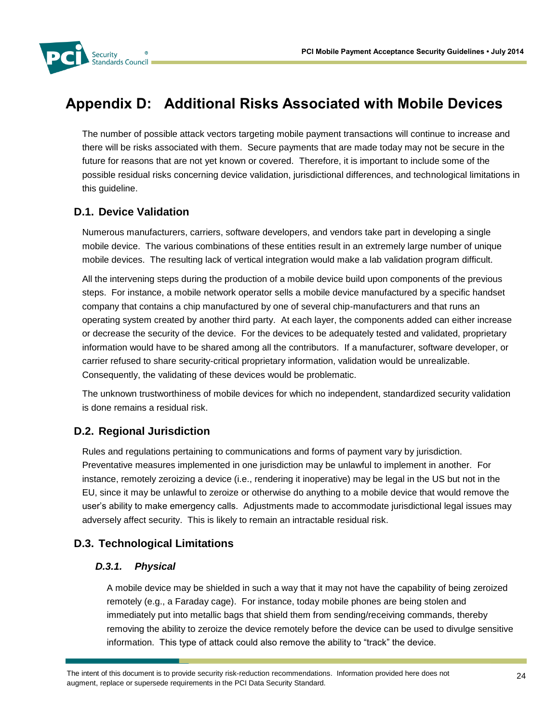

# **Appendix D: Additional Risks Associated with Mobile Devices**

The number of possible attack vectors targeting mobile payment transactions will continue to increase and there will be risks associated with them. Secure payments that are made today may not be secure in the future for reasons that are not yet known or covered. Therefore, it is important to include some of the possible residual risks concerning device validation, jurisdictional differences, and technological limitations in this guideline.

# **D.1. Device Validation**

Numerous manufacturers, carriers, software developers, and vendors take part in developing a single mobile device. The various combinations of these entities result in an extremely large number of unique mobile devices. The resulting lack of vertical integration would make a lab validation program difficult.

All the intervening steps during the production of a mobile device build upon components of the previous steps. For instance, a mobile network operator sells a mobile device manufactured by a specific handset company that contains a chip manufactured by one of several chip-manufacturers and that runs an operating system created by another third party. At each layer, the components added can either increase or decrease the security of the device. For the devices to be adequately tested and validated, proprietary information would have to be shared among all the contributors. If a manufacturer, software developer, or carrier refused to share security-critical proprietary information, validation would be unrealizable. Consequently, the validating of these devices would be problematic.

The unknown trustworthiness of mobile devices for which no independent, standardized security validation is done remains a residual risk.

# **D.2. Regional Jurisdiction**

Rules and regulations pertaining to communications and forms of payment vary by jurisdiction. Preventative measures implemented in one jurisdiction may be unlawful to implement in another. For instance, remotely zeroizing a device (i.e., rendering it inoperative) may be legal in the US but not in the EU, since it may be unlawful to zeroize or otherwise do anything to a mobile device that would remove the user's ability to make emergency calls. Adjustments made to accommodate jurisdictional legal issues may adversely affect security. This is likely to remain an intractable residual risk.

# **D.3. Technological Limitations**

#### *D.3.1. Physical*

A mobile device may be shielded in such a way that it may not have the capability of being zeroized remotely (e.g., a Faraday cage). For instance, today mobile phones are being stolen and immediately put into metallic bags that shield them from sending/receiving commands, thereby removing the ability to zeroize the device remotely before the device can be used to divulge sensitive information. This type of attack could also remove the ability to "track" the device.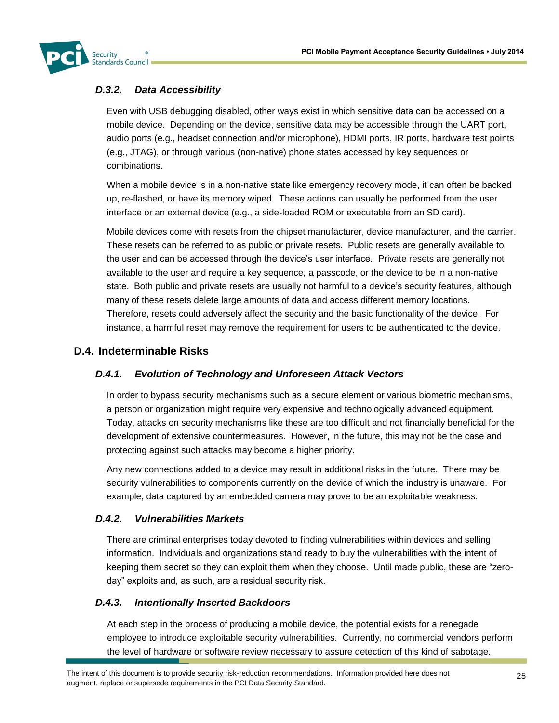

# *D.3.2. Data Accessibility*

Even with USB debugging disabled, other ways exist in which sensitive data can be accessed on a mobile device. Depending on the device, sensitive data may be accessible through the UART port, audio ports (e.g., headset connection and/or microphone), HDMI ports, IR ports, hardware test points (e.g., JTAG), or through various (non-native) phone states accessed by key sequences or combinations.

When a mobile device is in a non-native state like emergency recovery mode, it can often be backed up, re-flashed, or have its memory wiped. These actions can usually be performed from the user interface or an external device (e.g., a side-loaded ROM or executable from an SD card).

Mobile devices come with resets from the chipset manufacturer, device manufacturer, and the carrier. These resets can be referred to as public or private resets. Public resets are generally available to the user and can be accessed through the device's user interface. Private resets are generally not available to the user and require a key sequence, a passcode, or the device to be in a non-native state. Both public and private resets are usually not harmful to a device's security features, although many of these resets delete large amounts of data and access different memory locations. Therefore, resets could adversely affect the security and the basic functionality of the device. For instance, a harmful reset may remove the requirement for users to be authenticated to the device.

# **D.4. Indeterminable Risks**

# *D.4.1. Evolution of Technology and Unforeseen Attack Vectors*

In order to bypass security mechanisms such as a secure element or various biometric mechanisms, a person or organization might require very expensive and technologically advanced equipment. Today, attacks on security mechanisms like these are too difficult and not financially beneficial for the development of extensive countermeasures. However, in the future, this may not be the case and protecting against such attacks may become a higher priority.

Any new connections added to a device may result in additional risks in the future. There may be security vulnerabilities to components currently on the device of which the industry is unaware. For example, data captured by an embedded camera may prove to be an exploitable weakness.

# *D.4.2. Vulnerabilities Markets*

There are criminal enterprises today devoted to finding vulnerabilities within devices and selling information. Individuals and organizations stand ready to buy the vulnerabilities with the intent of keeping them secret so they can exploit them when they choose. Until made public, these are "zeroday" exploits and, as such, are a residual security risk.

#### *D.4.3. Intentionally Inserted Backdoors*

At each step in the process of producing a mobile device, the potential exists for a renegade employee to introduce exploitable security vulnerabilities. Currently, no commercial vendors perform the level of hardware or software review necessary to assure detection of this kind of sabotage.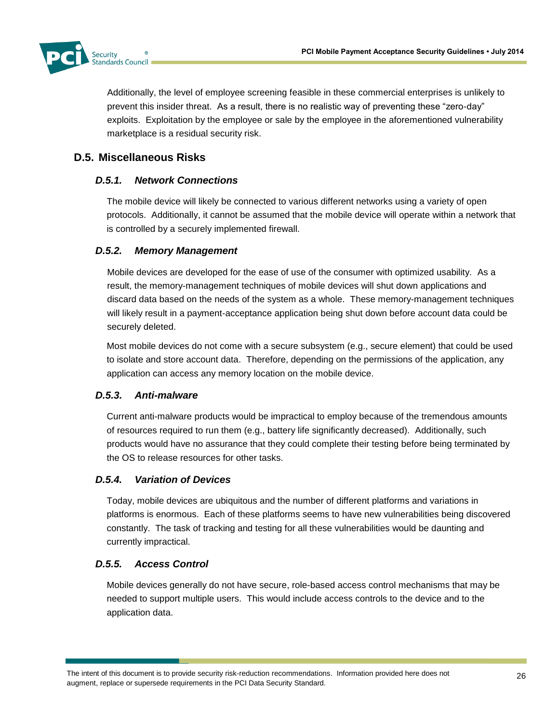

Additionally, the level of employee screening feasible in these commercial enterprises is unlikely to prevent this insider threat. As a result, there is no realistic way of preventing these "zero-day" exploits. Exploitation by the employee or sale by the employee in the aforementioned vulnerability marketplace is a residual security risk.

# **D.5. Miscellaneous Risks**

## *D.5.1. Network Connections*

The mobile device will likely be connected to various different networks using a variety of open protocols. Additionally, it cannot be assumed that the mobile device will operate within a network that is controlled by a securely implemented firewall.

#### *D.5.2. Memory Management*

Mobile devices are developed for the ease of use of the consumer with optimized usability. As a result, the memory-management techniques of mobile devices will shut down applications and discard data based on the needs of the system as a whole. These memory-management techniques will likely result in a payment-acceptance application being shut down before account data could be securely deleted.

Most mobile devices do not come with a secure subsystem (e.g., secure element) that could be used to isolate and store account data. Therefore, depending on the permissions of the application, any application can access any memory location on the mobile device.

#### *D.5.3. Anti-malware*

Current anti-malware products would be impractical to employ because of the tremendous amounts of resources required to run them (e.g., battery life significantly decreased). Additionally, such products would have no assurance that they could complete their testing before being terminated by the OS to release resources for other tasks.

# *D.5.4. Variation of Devices*

Today, mobile devices are ubiquitous and the number of different platforms and variations in platforms is enormous. Each of these platforms seems to have new vulnerabilities being discovered constantly. The task of tracking and testing for all these vulnerabilities would be daunting and currently impractical.

# *D.5.5. Access Control*

Mobile devices generally do not have secure, role-based access control mechanisms that may be needed to support multiple users. This would include access controls to the device and to the application data.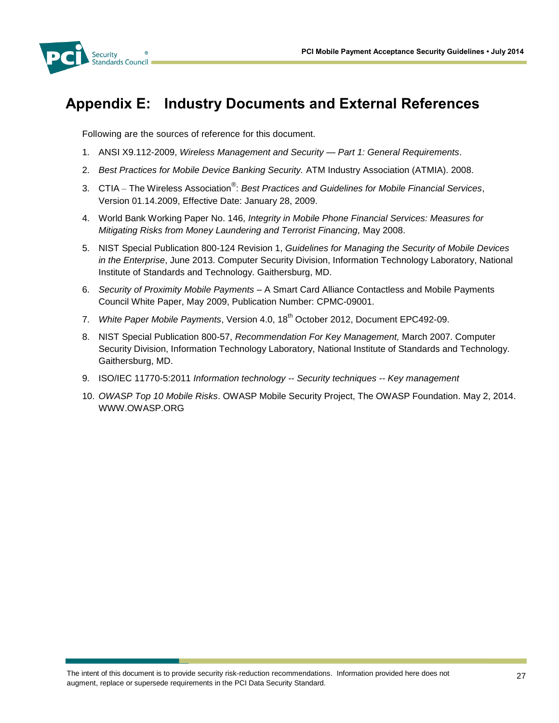

# **Appendix E: Industry Documents and External References**

Following are the sources of reference for this document.

- 1. ANSI X9.112-2009, *Wireless Management and Security — Part 1: General Requirements*.
- 2. *Best Practices for Mobile Device Banking Security.* ATM Industry Association (ATMIA). 2008.
- 3. CTIA The Wireless Association® : *Best Practices and Guidelines for Mobile Financial Services*, Version 01.14.2009, Effective Date: January 28, 2009.
- 4. World Bank Working Paper No. 146, *Integrity in Mobile Phone Financial Services: Measures for Mitigating Risks from Money Laundering and Terrorist Financing,* May 2008.
- 5. NIST Special Publication 800-124 Revision 1, *Guidelines for Managing the Security of Mobile Devices in the Enterprise*, June 2013. Computer Security Division, Information Technology Laboratory, National Institute of Standards and Technology. Gaithersburg, MD.
- 6. *Security of Proximity Mobile Payments* A Smart Card Alliance Contactless and Mobile Payments Council White Paper, May 2009, Publication Number: CPMC-09001.
- 7. *White Paper Mobile Payments*, Version 4.0, 18<sup>th</sup> October 2012, Document EPC492-09.
- 8. NIST Special Publication 800-57, *Recommendation For Key Management,* March 2007. Computer Security Division, Information Technology Laboratory, National Institute of Standards and Technology. Gaithersburg, MD.
- 9. ISO/IEC 11770-5:2011 *Information technology -- Security techniques -- Key management*
- 10. *OWASP Top 10 Mobile Risks*. OWASP Mobile Security Project, The OWASP Foundation. May 2, 2014. WWW.OWASP.ORG